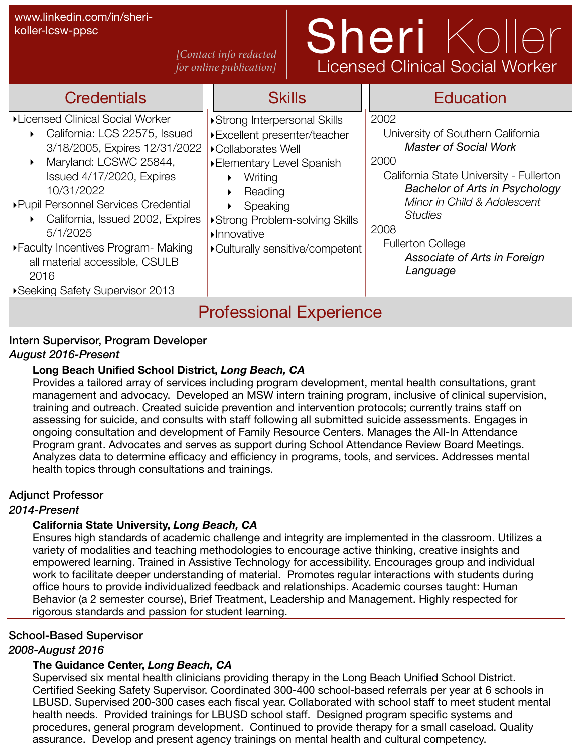koller-lcsw-ppsc

#### *[Contact info redacted for online publication]*

# www.linkedin.com/in/sheri-<br>koller-Icsw-ppsc<br>Contact info redacted  $S$  **herefore i**  $\left( \bigcirc \bigcup \bigcup \bigcirc \bigcap$ Licensed Clinical Social Worker

| <b>Credentials</b>                                                                                                                                                                                                                                                                                                                                                                      | <b>Skills</b>                                                                                                                                                                                                                                                             | <b>Education</b>                                                                                                                                                                                                                                                                                       |  |  |  |  |  |  |  |
|-----------------------------------------------------------------------------------------------------------------------------------------------------------------------------------------------------------------------------------------------------------------------------------------------------------------------------------------------------------------------------------------|---------------------------------------------------------------------------------------------------------------------------------------------------------------------------------------------------------------------------------------------------------------------------|--------------------------------------------------------------------------------------------------------------------------------------------------------------------------------------------------------------------------------------------------------------------------------------------------------|--|--|--|--|--|--|--|
| ▶Licensed Clinical Social Worker<br>California: LCS 22575, Issued<br>3/18/2005, Expires 12/31/2022<br>Maryland: LCSWC 25844,<br>Issued 4/17/2020, Expires<br>10/31/2022<br>▶ Pupil Personnel Services Credential<br>California, Issued 2002, Expires<br>5/1/2025<br>▶ Faculty Incentives Program - Making<br>all material accessible, CSULB<br>2016<br>▶ Seeking Safety Supervisor 2013 | ▶ Strong Interpersonal Skills<br>▶ Excellent presenter/teacher<br>▶ Collaborates Well<br>▶ Elementary Level Spanish<br>Writing<br>▶<br>Reading<br>▶<br>Speaking<br>▶Strong Problem-solving Skills<br>$\blacktriangleright$ Innovative<br>▶ Culturally sensitive/competent | 2002<br>University of Southern California<br><b>Master of Social Work</b><br>2000<br>California State University - Fullerton<br><b>Bachelor of Arts in Psychology</b><br>Minor in Child & Adolescent<br><b>Studies</b><br>2008<br><b>Fullerton College</b><br>Associate of Arts in Foreign<br>Language |  |  |  |  |  |  |  |
| <b>Professional Experience</b>                                                                                                                                                                                                                                                                                                                                                          |                                                                                                                                                                                                                                                                           |                                                                                                                                                                                                                                                                                                        |  |  |  |  |  |  |  |

### Intern Supervisor, Program Developer

#### *August 2016-Present*

#### **Long Beach Unified School District,** *Long Beach, CA*

Provides a tailored array of services including program development, mental health consultations, grant management and advocacy. Developed an MSW intern training program, inclusive of clinical supervision, training and outreach. Created suicide prevention and intervention protocols; currently trains staff on assessing for suicide, and consults with staff following all submitted suicide assessments. Engages in ongoing consultation and development of Family Resource Centers. Manages the All-In Attendance Program grant. Advocates and serves as support during School Attendance Review Board Meetings. Analyzes data to determine efficacy and efficiency in programs, tools, and services. Addresses mental health topics through consultations and trainings.

#### Adjunct Professor

#### *2014-Present*

#### **California State University,** *Long Beach, CA*

Ensures high standards of academic challenge and integrity are implemented in the classroom. Utilizes a variety of modalities and teaching methodologies to encourage active thinking, creative insights and empowered learning. Trained in Assistive Technology for accessibility. Encourages group and individual work to facilitate deeper understanding of material. Promotes regular interactions with students during office hours to provide individualized feedback and relationships. Academic courses taught: Human Behavior (a 2 semester course), Brief Treatment, Leadership and Management. Highly respected for rigorous standards and passion for student learning.

#### School-Based Supervisor

#### *2008-August 2016*

#### **The Guidance Center,** *Long Beach, CA*

Supervised six mental health clinicians providing therapy in the Long Beach Unified School District. Certified Seeking Safety Supervisor. Coordinated 300-400 school-based referrals per year at 6 schools in LBUSD. Supervised 200-300 cases each fiscal year. Collaborated with school staff to meet student mental health needs. Provided trainings for LBUSD school staff. Designed program specific systems and procedures, general program development. Continued to provide therapy for a small caseload. Quality assurance. Develop and present agency trainings on mental health and cultural competency.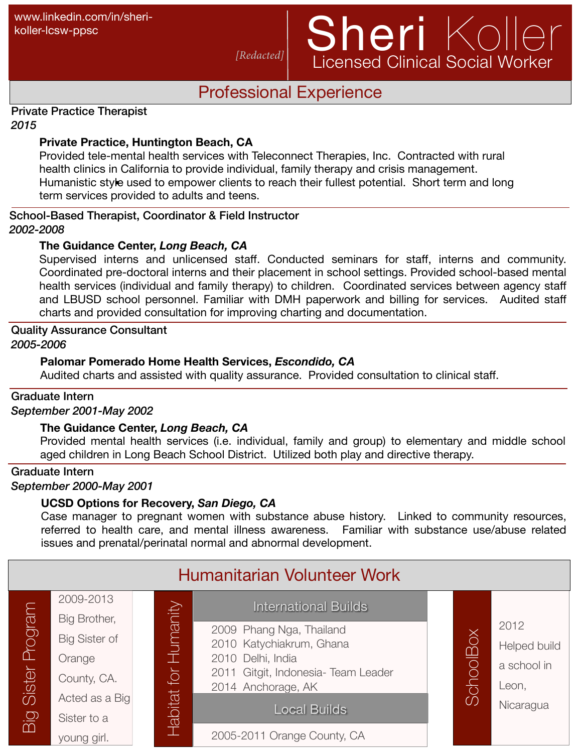## www.linkedin.com/in/sheri-<br>koller-Icsw-ppsc<br>Redacted| Sheri Koller Licensed Clinical Social Worker

## Professional Experience

*[Redacted]*

#### Private Practice Therapist *2015*

#### **Private Practice, Huntington Beach, CA**

Humanistic style used to empower clients to reach their fullest potential. Short term and long Provided tele-mental health services with Teleconnect Therapies, Inc. Contracted with rural health clinics in California to provide individual, family therapy and crisis management. term services provided to adults and teens.

#### School-Based Therapist, Coordinator & Field Instructor *2002-2008*

#### **The Guidance Center,** *Long Beach, CA*

Supervised interns and unlicensed staff. Conducted seminars for staff, interns and community. Coordinated pre-doctoral interns and their placement in school settings. Provided school-based mental health services (individual and family therapy) to children. Coordinated services between agency staff and LBUSD school personnel. Familiar with DMH paperwork and billing for services. Audited staff charts and provided consultation for improving charting and documentation.

### Quality Assurance Consultant

*2005-2006*

#### **Palomar Pomerado Home Health Services,** *Escondido, CA*

Audited charts and assisted with quality assurance. Provided consultation to clinical staff.

### Graduate Intern

*September 2001-May 2002*

#### **The Guidance Center,** *Long Beach, CA*

Provided mental health services (i.e. individual, family and group) to elementary and middle school aged children in Long Beach School District. Utilized both play and directive therapy.

## Graduate Intern

*September 2000-May 2001*

#### **UCSD Options for Recovery,** *San Diego, CA*

Case manager to pregnant women with substance abuse history. Linked to community resources, referred to health care, and mental illness awareness. Familiar with substance use/abuse related issues and prenatal/perinatal normal and abnormal development.

| Humanitarian Volunteer Work |                               |  |                                          |                                                          |  |                       |                      |
|-----------------------------|-------------------------------|--|------------------------------------------|----------------------------------------------------------|--|-----------------------|----------------------|
|                             | 2009-2013<br>Big Brother,     |  |                                          | <b>International Builds</b>                              |  |                       |                      |
| Program<br>Sister           | <b>Big Sister of</b>          |  | $H$ umanity<br>$\overline{Q}$<br>Habitat | 2009 Phang Nga, Thailand<br>2010 Katychiakrum, Ghana     |  | choolBox              | 2012<br>Helped build |
|                             | Orange<br>County, CA.         |  |                                          | 2010 Delhi, India<br>2011 Gitgit, Indonesia- Team Leader |  |                       | a school in          |
|                             | Acted as a Big<br>Sister to a |  |                                          | 2014 Anchorage, AK<br><b>Local Builds</b>                |  | $\tilde{\mathcal{O}}$ | Leon,<br>Nicaragua   |
| $\frac{1}{10}$              | young girl.                   |  |                                          | 2005-2011 Orange County, CA                              |  |                       |                      |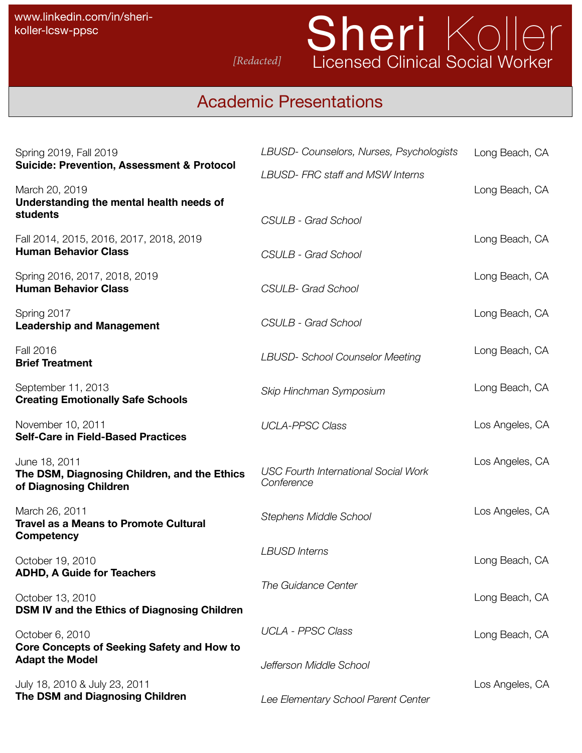## Sheri Koller *[Redacted]* Licensed Clinical Social Worker

## Academic Presentations

| Spring 2019, Fall 2019                                                                  | LBUSD- Counselors, Nurses, Psychologists                  | Long Beach, CA  |
|-----------------------------------------------------------------------------------------|-----------------------------------------------------------|-----------------|
| <b>Suicide: Prevention, Assessment &amp; Protocol</b>                                   | <b>LBUSD-FRC staff and MSW Interns</b>                    |                 |
| March 20, 2019<br>Understanding the mental health needs of                              |                                                           | Long Beach, CA  |
| students                                                                                | <b>CSULB - Grad School</b>                                |                 |
| Fall 2014, 2015, 2016, 2017, 2018, 2019<br><b>Human Behavior Class</b>                  | <b>CSULB - Grad School</b>                                | Long Beach, CA  |
| Spring 2016, 2017, 2018, 2019<br><b>Human Behavior Class</b>                            | <b>CSULB- Grad School</b>                                 | Long Beach, CA  |
| Spring 2017<br><b>Leadership and Management</b>                                         | <b>CSULB - Grad School</b>                                | Long Beach, CA  |
| Fall 2016<br><b>Brief Treatment</b>                                                     | <b>LBUSD- School Counselor Meeting</b>                    | Long Beach, CA  |
| September 11, 2013<br><b>Creating Emotionally Safe Schools</b>                          | Skip Hinchman Symposium                                   | Long Beach, CA  |
| November 10, 2011<br><b>Self-Care in Field-Based Practices</b>                          | <b>UCLA-PPSC Class</b>                                    | Los Angeles, CA |
| June 18, 2011<br>The DSM, Diagnosing Children, and the Ethics<br>of Diagnosing Children | <b>USC Fourth International Social Work</b><br>Conference | Los Angeles, CA |
| March 26, 2011<br><b>Travel as a Means to Promote Cultural</b><br><b>Competency</b>     | <b>Stephens Middle School</b>                             | Los Angeles, CA |
| October 19, 2010<br><b>ADHD, A Guide for Teachers</b>                                   | <b>LBUSD Interns</b>                                      | Long Beach, CA  |
| October 13, 2010<br>DSM IV and the Ethics of Diagnosing Children                        | The Guidance Center                                       | Long Beach, CA  |
| October 6, 2010<br><b>Core Concepts of Seeking Safety and How to</b>                    | <b>UCLA - PPSC Class</b>                                  | Long Beach, CA  |
| <b>Adapt the Model</b>                                                                  | Jefferson Middle School                                   |                 |
| July 18, 2010 & July 23, 2011<br>The DSM and Diagnosing Children                        | Lee Elementary School Parent Center                       | Los Angeles, CA |